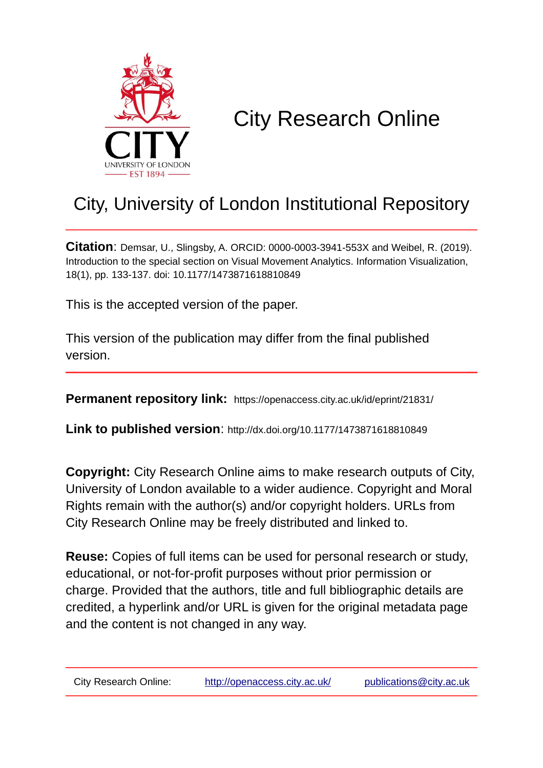

# City Research Online

## City, University of London Institutional Repository

**Citation**: Demsar, U., Slingsby, A. ORCID: 0000-0003-3941-553X and Weibel, R. (2019). Introduction to the special section on Visual Movement Analytics. Information Visualization, 18(1), pp. 133-137. doi: 10.1177/1473871618810849

This is the accepted version of the paper.

This version of the publication may differ from the final published version.

**Permanent repository link:** https://openaccess.city.ac.uk/id/eprint/21831/

**Link to published version**: http://dx.doi.org/10.1177/1473871618810849

**Copyright:** City Research Online aims to make research outputs of City, University of London available to a wider audience. Copyright and Moral Rights remain with the author(s) and/or copyright holders. URLs from City Research Online may be freely distributed and linked to.

**Reuse:** Copies of full items can be used for personal research or study, educational, or not-for-profit purposes without prior permission or charge. Provided that the authors, title and full bibliographic details are credited, a hyperlink and/or URL is given for the original metadata page and the content is not changed in any way.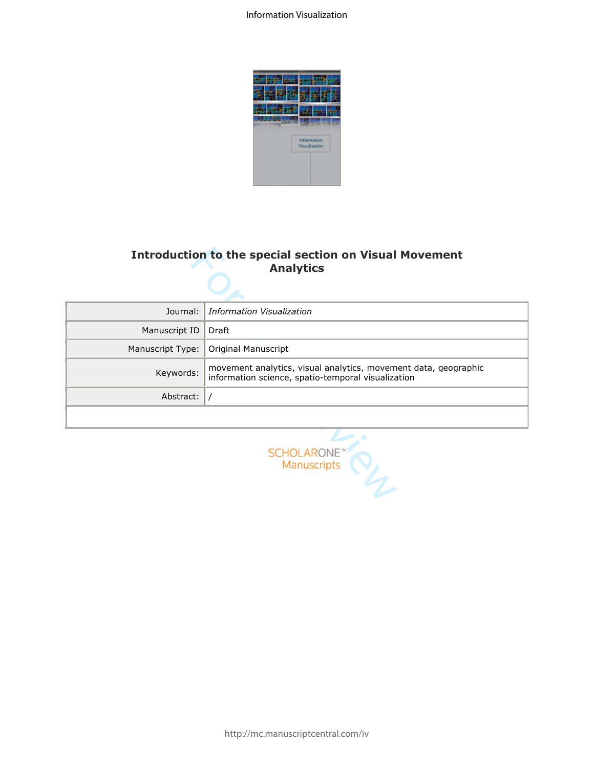

## **Introduction to the special section on Visual Movement Analytics**

| Journal:                                 | Information Visualization                                                                                             |
|------------------------------------------|-----------------------------------------------------------------------------------------------------------------------|
| Manuscript ID                            | Draft                                                                                                                 |
| Manuscript Type:                         | <b>Original Manuscript</b>                                                                                            |
| Keywords:                                | movement analytics, visual analytics, movement data, geographic<br>information science, spatio-temporal visualization |
| Abstract:                                |                                                                                                                       |
|                                          |                                                                                                                       |
| <b>SCHOLARONE™</b><br><b>Manuscripts</b> |                                                                                                                       |

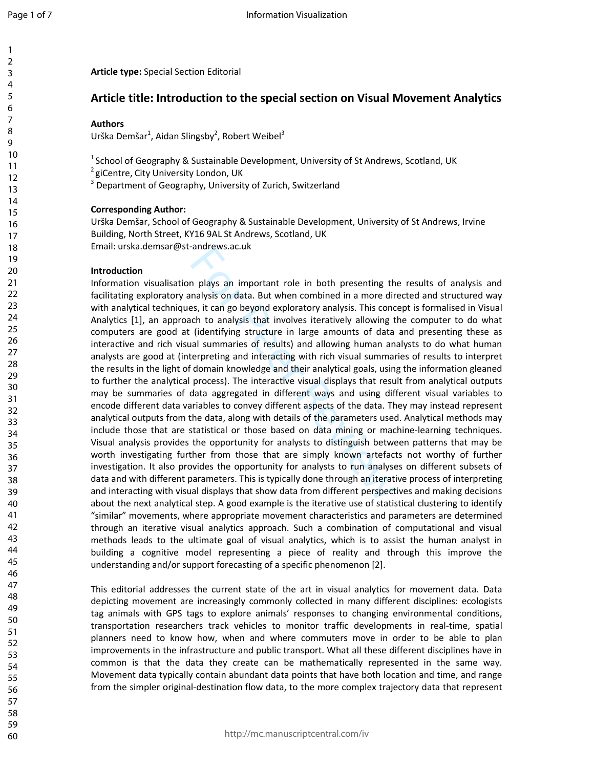**Article type:** Special Section Editorial

### **Article title: Introduction to the special section on Visual Movement Analytics**

#### **Authors**

Urška Demšar<sup>1</sup>, Aidan Slingsby<sup>2</sup>, Robert Weibel<sup>3</sup>

 $1$  School of Geography & Sustainable Development, University of St Andrews, Scotland, UK

<sup>2</sup> giCentre, City University London, UK

<sup>3</sup> Department of Geography, University of Zurich, Switzerland

#### **Corresponding Author:**

Urška Demšar, School of Geography & Sustainable Development, University of St Andrews, Irvine Building, North Street, KY16 9AL St Andrews, Scotland, UK Email: urska.demsar@st-andrews.ac.uk

#### **Introduction**

For Personalistics and more than all plays an important role in both presenting the allysis on data. But when combined in a more directly, it can go beyond exploratory analysis. This conce the onalysis that involves iterat Information visualisation plays an important role in both presenting the results of analysis and facilitating exploratory analysis on data. But when combined in a more directed and structured way with analytical techniques, it can go beyond exploratory analysis. This concept is formalised in Visual Analytics [1], an approach to analysis that involves iteratively allowing the computer to do what computers are good at (identifying structure in large amounts of data and presenting these as interactive and rich visual summaries of results) and allowing human analysts to do what human analysts are good at (interpreting and interacting with rich visual summaries of results to interpret the results in the light of domain knowledge and their analytical goals, using the information gleaned to further the analytical process). The interactive visual displays that result from analytical outputs may be summaries of data aggregated in different ways and using different visual variables to encode different data variables to convey different aspects of the data. They may instead represent analytical outputs from the data, along with details of the parameters used. Analytical methods may include those that are statistical or those based on data mining or machine-learning techniques. Visual analysis provides the opportunity for analysts to distinguish between patterns that may be worth investigating further from those that are simply known artefacts not worthy of further investigation. It also provides the opportunity for analysts to run analyses on different subsets of data and with different parameters. This is typically done through an iterative process of interpreting and interacting with visual displays that show data from different perspectives and making decisions about the next analytical step. A good example is the iterative use of statistical clustering to identify "similar" movements, where appropriate movement characteristics and parameters are determined through an iterative visual analytics approach. Such a combination of computational and visual methods leads to the ultimate goal of visual analytics, which is to assist the human analyst in building a cognitive model representing a piece of reality and through this improve the understanding and/or support forecasting of a specific phenomenon [2].

This editorial addresses the current state of the art in visual analytics for movement data. Data depicting movement are increasingly commonly collected in many different disciplines: ecologists tag animals with GPS tags to explore animals' responses to changing environmental conditions, transportation researchers track vehicles to monitor traffic developments in real-time, spatial planners need to know how, when and where commuters move in order to be able to plan improvements in the infrastructure and public transport. What all these different disciplines have in common is that the data they create can be mathematically represented in the same way. Movement data typically contain abundant data points that have both location and time, and range from the simpler original-destination flow data, to the more complex trajectory data that represent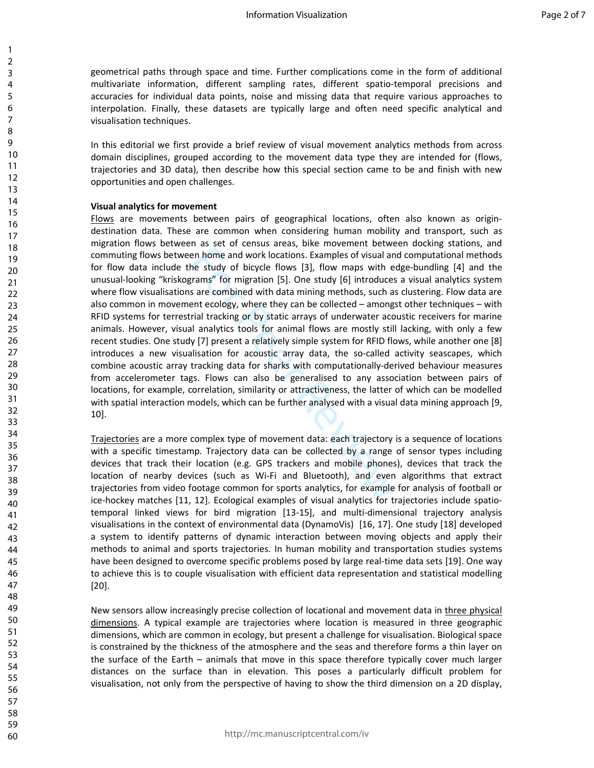geometrical paths through space and time. Further complications come in the form of additional multivariate information, different sampling rates, different spatio-temporal precisions and accuracies for individual data points, noise and missing data that require various approaches to interpolation. Finally, these datasets are typically large and often need specific analytical and visualisation techniques.

In this editorial we first provide a brief review of visual movement analytics methods from across domain disciplines, grouped according to the movement data type they are intended for (flows, trajectories and 3D data), then describe how this special section came to be and finish with new opportunities and open challenges.

#### **Visual analytics for movement**

en home and work locations. Examples of visual and<br>the study of bicycle flows [3], flow maps with ecrams" for migration [5]. One study [6] introduces<br>s are combined with data mining methods, such as<br>ent ecology, where they Flows are movements between pairs of geographical locations, often also known as origindestination data. These are common when considering human mobility and transport, such as migration flows between as set of census areas, bike movement between docking stations, and commuting flows between home and work locations. Examples of visual and computational methods for flow data include the study of bicycle flows [3], flow maps with edge-bundling [4] and the unusual-looking "kriskograms" for migration [5]. One study [6] introduces a visual analytics system where flow visualisations are combined with data mining methods, such as clustering. Flow data are also common in movement ecology, where they can be collected – amongst other techniques – with RFID systems for terrestrial tracking or by static arrays of underwater acoustic receivers for marine animals. However, visual analytics tools for animal flows are mostly still lacking, with only a few recent studies. One study [7] present a relatively simple system for RFID flows, while another one [8] introduces a new visualisation for acoustic array data, the so-called activity seascapes, which combine acoustic array tracking data for sharks with computationally-derived behaviour measures from accelerometer tags. Flows can also be generalised to any association between pairs of locations, for example, correlation, similarity or attractiveness, the latter of which can be modelled with spatial interaction models, which can be further analysed with a visual data mining approach [9, 10].

Trajectories are a more complex type of movement data: each trajectory is a sequence of locations with a specific timestamp. Trajectory data can be collected by a range of sensor types including devices that track their location (e.g. GPS trackers and mobile phones), devices that track the location of nearby devices (such as Wi-Fi and Bluetooth), and even algorithms that extract trajectories from video footage common for sports analytics, for example for analysis of football or ice-hockey matches [11, 12]. Ecological examples of visual analytics for trajectories include spatiotemporal linked views for bird migration [13-15], and multi-dimensional trajectory analysis visualisations in the context of environmental data (DynamoVis) [16, 17]. One study [18] developed a system to identify patterns of dynamic interaction between moving objects and apply their methods to animal and sports trajectories. In human mobility and transportation studies systems have been designed to overcome specific problems posed by large real-time data sets [19]. One way to achieve this is to couple visualisation with efficient data representation and statistical modelling [20].

New sensors allow increasingly precise collection of locational and movement data in three physical dimensions. A typical example are trajectories where location is measured in three geographic dimensions, which are common in ecology, but present a challenge for visualisation. Biological space is constrained by the thickness of the atmosphere and the seas and therefore forms a thin layer on the surface of the Earth – animals that move in this space therefore typically cover much larger distances on the surface than in elevation. This poses a particularly difficult problem for visualisation, not only from the perspective of having to show the third dimension on a 2D display,

1 2 3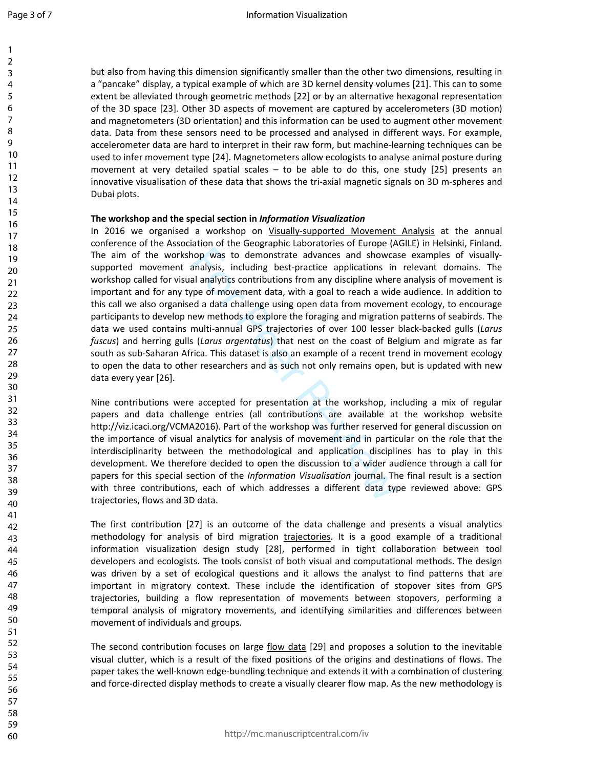but also from having this dimension significantly smaller than the other two dimensions, resulting in a "pancake" display, a typical example of which are 3D kernel density volumes [21]. This can to some extent be alleviated through geometric methods [22] or by an alternative hexagonal representation of the 3D space [23]. Other 3D aspects of movement are captured by accelerometers (3D motion) and magnetometers (3D orientation) and this information can be used to augment other movement data. Data from these sensors need to be processed and analysed in different ways. For example, accelerometer data are hard to interpret in their raw form, but machine-learning techniques can be used to infer movement type [24]. Magnetometers allow ecologists to analyse animal posture during movement at very detailed spatial scales – to be able to do this, one study [25] presents an innovative visualisation of these data that shows the tri-axial magnetic signals on 3D m-spheres and Dubai plots.

#### **The workshop and the special section in** *Information Visualization*

nop was to demonstrate advances and showca<br>analysis, including best-practice applications in<br>analysis, including best-practice applications in<br>al analytics contributions from any discipline where<br>ype of movement data, with In 2016 we organised a workshop on Visually-supported Movement Analysis at the annual conference of the Association of the Geographic Laboratories of Europe (AGILE) in Helsinki, Finland. The aim of the workshop was to demonstrate advances and showcase examples of visuallysupported movement analysis, including best-practice applications in relevant domains. The workshop called for visual analytics contributions from any discipline where analysis of movement is important and for any type of movement data, with a goal to reach a wide audience. In addition to this call we also organised a data challenge using open data from movement ecology, to encourage participants to develop new methods to explore the foraging and migration patterns of seabirds. The data we used contains multi-annual GPS trajectories of over 100 lesser black-backed gulls (*Larus fuscus*) and herring gulls (*Larus argentatus*) that nest on the coast of Belgium and migrate as far south as sub-Saharan Africa. This dataset is also an example of a recent trend in movement ecology to open the data to other researchers and as such not only remains open, but is updated with new data every year [26].

Nine contributions were accepted for presentation at the workshop, including a mix of regular papers and data challenge entries (all contributions are available at the workshop website http://viz.icaci.org/VCMA2016). Part of the workshop was further reserved for general discussion on the importance of visual analytics for analysis of movement and in particular on the role that the interdisciplinarity between the methodological and application disciplines has to play in this development. We therefore decided to open the discussion to a wider audience through a call for papers for this special section of the *Information Visualisation* journal. The final result is a section with three contributions, each of which addresses a different data type reviewed above: GPS trajectories, flows and 3D data.

The first contribution [27] is an outcome of the data challenge and presents a visual analytics methodology for analysis of bird migration trajectories. It is a good example of a traditional information visualization design study [28], performed in tight collaboration between tool developers and ecologists. The tools consist of both visual and computational methods. The design was driven by a set of ecological questions and it allows the analyst to find patterns that are important in migratory context. These include the identification of stopover sites from GPS trajectories, building a flow representation of movements between stopovers, performing a temporal analysis of migratory movements, and identifying similarities and differences between movement of individuals and groups.

The second contribution focuses on large flow data [29] and proposes a solution to the inevitable visual clutter, which is a result of the fixed positions of the origins and destinations of flows. The paper takes the well-known edge-bundling technique and extends it with a combination of clustering and force-directed display methods to create a visually clearer flow map. As the new methodology is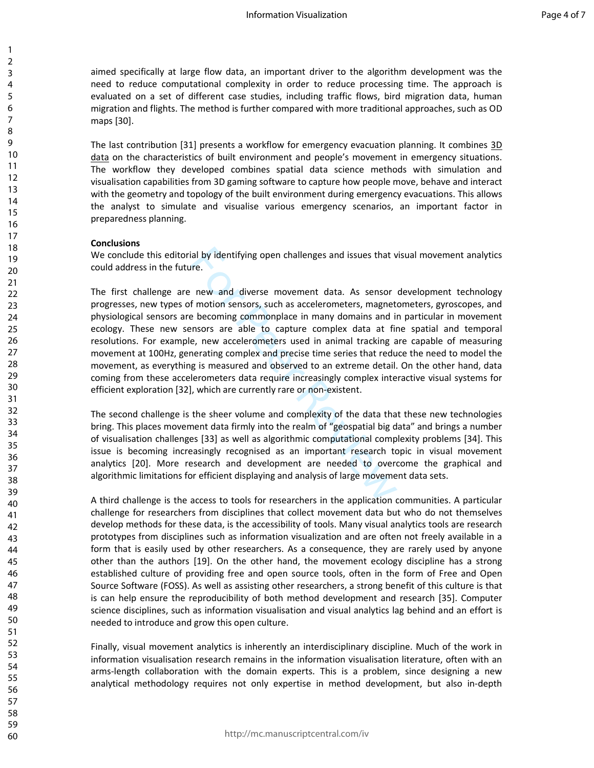aimed specifically at large flow data, an important driver to the algorithm development was the need to reduce computational complexity in order to reduce processing time. The approach is evaluated on a set of different case studies, including traffic flows, bird migration data, human migration and flights. The method is further compared with more traditional approaches, such as OD maps [30].

The last contribution [31] presents a workflow for emergency evacuation planning. It combines 3D data on the characteristics of built environment and people's movement in emergency situations. The workflow they developed combines spatial data science methods with simulation and visualisation capabilities from 3D gaming software to capture how people move, behave and interact with the geometry and topology of the built environment during emergency evacuations. This allows the analyst to simulate and visualise various emergency scenarios, an important factor in preparedness planning.

#### **Conclusions**

We conclude this editorial by identifying open challenges and issues that visual movement analytics could address in the future.

ial by identifying open challenges and issues that v<br>re.<br>new and diverse movement data. As sensor<br>f motion sensors, such as accelerometers, magnete<br>becoming commonplace in many domains and in<br>nesors are able to capture com The first challenge are new and diverse movement data. As sensor development technology progresses, new types of motion sensors, such as accelerometers, magnetometers, gyroscopes, and physiological sensors are becoming commonplace in many domains and in particular in movement ecology. These new sensors are able to capture complex data at fine spatial and temporal resolutions. For example, new accelerometers used in animal tracking are capable of measuring movement at 100Hz, generating complex and precise time series that reduce the need to model the movement, as everything is measured and observed to an extreme detail. On the other hand, data coming from these accelerometers data require increasingly complex interactive visual systems for efficient exploration [32], which are currently rare or non-existent.

The second challenge is the sheer volume and complexity of the data that these new technologies bring. This places movement data firmly into the realm of "geospatial big data" and brings a number of visualisation challenges [33] as well as algorithmic computational complexity problems [34]. This issue is becoming increasingly recognised as an important research topic in visual movement analytics [20]. More research and development are needed to overcome the graphical and algorithmic limitations for efficient displaying and analysis of large movement data sets.

A third challenge is the access to tools for researchers in the application communities. A particular challenge for researchers from disciplines that collect movement data but who do not themselves develop methods for these data, is the accessibility of tools. Many visual analytics tools are research prototypes from disciplines such as information visualization and are often not freely available in a form that is easily used by other researchers. As a consequence, they are rarely used by anyone other than the authors [19]. On the other hand, the movement ecology discipline has a strong established culture of providing free and open source tools, often in the form of Free and Open Source Software (FOSS). As well as assisting other researchers, a strong benefit of this culture is that is can help ensure the reproducibility of both method development and research [35]. Computer science disciplines, such as information visualisation and visual analytics lag behind and an effort is needed to introduce and grow this open culture.

Finally, visual movement analytics is inherently an interdisciplinary discipline. Much of the work in information visualisation research remains in the information visualisation literature, often with an arms-length collaboration with the domain experts. This is a problem, since designing a new analytical methodology requires not only expertise in method development, but also in-depth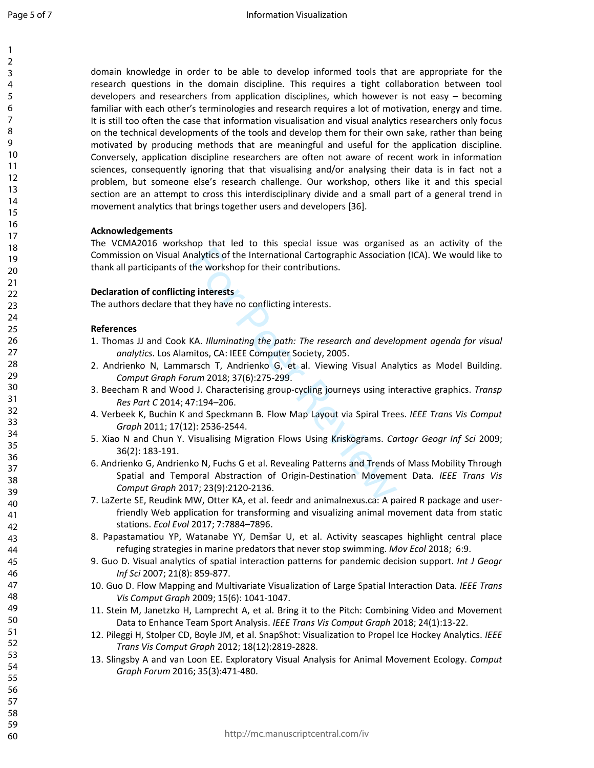domain knowledge in order to be able to develop informed tools that are appropriate for the research questions in the domain discipline. This requires a tight collaboration between tool developers and researchers from application disciplines, which however is not easy – becoming familiar with each other's terminologies and research requires a lot of motivation, energy and time. It is still too often the case that information visualisation and visual analytics researchers only focus on the technical developments of the tools and develop them for their own sake, rather than being motivated by producing methods that are meaningful and useful for the application discipline. Conversely, application discipline researchers are often not aware of recent work in information sciences, consequently ignoring that that visualising and/or analysing their data is in fact not a problem, but someone else's research challenge. Our workshop, others like it and this special section are an attempt to cross this interdisciplinary divide and a small part of a general trend in movement analytics that brings together users and developers [36].

#### **Acknowledgements**

The VCMA2016 workshop that led to this special issue was organised as an activity of the Commission on Visual Analytics of the International Cartographic Association (ICA). We would like to thank all participants of the workshop for their contributions.

#### **Declaration of conflicting interests**

The authors declare that they have no conflicting interests.

#### **References**

- 1. Thomas JJ and Cook KA. *Illuminating the path: The research and development agenda for visual analytics*. Los Alamitos, CA: IEEE Computer Society, 2005.
- 2. Andrienko N, Lammarsch T, Andrienko G, et al. Viewing Visual Analytics as Model Building. *Comput Graph Forum* 2018; 37(6):275-299.
- 3. Beecham R and Wood J. Characterising group-cycling journeys using interactive graphics. *Transp Res Part C* 2014; 47:194–206.
- 4. Verbeek K, Buchin K and Speckmann B. Flow Map Layout via Spiral Trees. *IEEE Trans Vis Comput Graph* 2011; 17(12): 2536-2544.
- 5. Xiao N and Chun Y. Visualising Migration Flows Using Kriskograms. *Cartogr Geogr Inf Sci* 2009; 36(2): 183-191.
- ralytics of the International Cartographic Associational<br>valytics of the International Cartographic Association<br>the workshop for their contributions.<br>**g interests**<br>they have no conflicting interests.<br>KA. *Illuminating the* 6. Andrienko G, Andrienko N, Fuchs G et al. Revealing Patterns and Trends of Mass Mobility Through Spatial and Temporal Abstraction of Origin-Destination Movement Data. *IEEE Trans Vis Comput Graph* 2017; 23(9):2120-2136.
- 7. LaZerte SE, Reudink MW, Otter KA, et al. feedr and animalnexus.ca: A paired R package and userfriendly Web application for transforming and visualizing animal movement data from static stations. *Ecol Evol* 2017; 7:7884–7896.
- 8. Papastamatiou YP, Watanabe YY, Demšar U, et al. Activity seascapes highlight central place refuging strategies in marine predators that never stop swimming. *Mov Ecol* 2018; 6:9.
- 9. Guo D. Visual analytics of spatial interaction patterns for pandemic decision support. *Int J Geogr Inf Sci* 2007; 21(8): 859-877.
- 10. Guo D. Flow Mapping and Multivariate Visualization of Large Spatial Interaction Data. *IEEE Trans Vis Comput Graph* 2009; 15(6): 1041-1047.
- 11. Stein M, Janetzko H, Lamprecht A, et al. Bring it to the Pitch: Combining Video and Movement Data to Enhance Team Sport Analysis. *IEEE Trans Vis Comput Graph* 2018; 24(1):13-22.
- 12. Pileggi H, Stolper CD, Boyle JM, et al. SnapShot: Visualization to Propel Ice Hockey Analytics. *IEEE Trans Vis Comput Graph* 2012; 18(12):2819-2828.
- 13. Slingsby A and van Loon EE. Exploratory Visual Analysis for Animal Movement Ecology. *Comput Graph Forum* 2016; 35(3):471-480.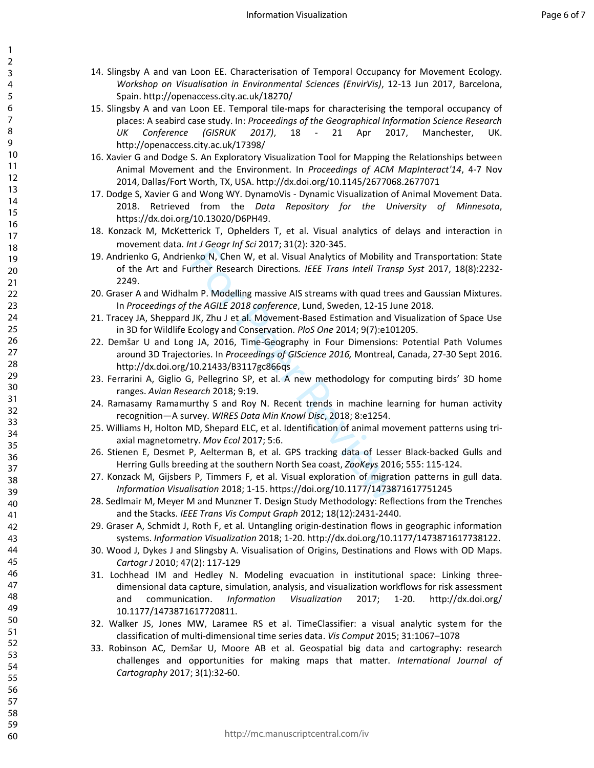- 14. Slingsby A and van Loon EE. Characterisation of Temporal Occupancy for Movement Ecology. *Workshop on Visualisation in Environmental Sciences (EnvirVis)*, 12-13 Jun 2017, Barcelona, Spain. http://openaccess.city.ac.uk/18270/
- 15. Slingsby A and van Loon EE. Temporal tile-maps for characterising the temporal occupancy of places: A seabird case study. In: *Proceedings of the Geographical Information Science Research UK Conference (GISRUK 2017)*, 18 - 21 Apr 2017, Manchester, UK. http://openaccess.city.ac.uk/17398/
- 16. Xavier G and Dodge S. An Exploratory Visualization Tool for Mapping the Relationships between Animal Movement and the Environment. In *Proceedings of ACM MapInteract'14*, 4-7 Nov 2014, Dallas/Fort Worth, TX, USA. http://dx.doi.org/10.1145/2677068.2677071
- 17. Dodge S, Xavier G and Wong WY. DynamoVis Dynamic Visualization of Animal Movement Data. 2018. Retrieved from the *Data Repository for the University of Minnesota*, https://dx.doi.org/10.13020/D6PH49.
- 18. Konzack M, McKetterick T, Ophelders T, et al. Visual analytics of delays and interaction in movement data. *Int J Geogr Inf Sci* 2017; 31(2): 320-345.
- The No. Net al. Visual Analytics of Mobility and Nuncellands N, Chen W, et al. Visual Analytics of Mobility and trethe AGILE 2018 conference, Lund, Sweden, 12-15 Ju JK, Zhu J et al. Movement-Based Estimation and V<br>JK, Zhu 19. Andrienko G, Andrienko N, Chen W, et al. Visual Analytics of Mobility and Transportation: State of the Art and Further Research Directions*. IEEE Trans Intell Transp Syst* 2017, 18(8):2232- 2249.
- 20. Graser A and Widhalm P. Modelling massive AIS streams with quad trees and Gaussian Mixtures. In *Proceedings of the AGILE 2018 conference*, Lund, Sweden, 12-15 June 2018.
- 21. Tracey JA, Sheppard JK, Zhu J et al. Movement-Based Estimation and Visualization of Space Use in 3D for Wildlife Ecology and Conservation. *PloS One* 2014; 9(7):e101205.
- 22. Demšar U and Long JA, 2016, Time-Geography in Four Dimensions: Potential Path Volumes around 3D Trajectories. In *Proceedings of GIScience 2016,* Montreal, Canada, 27-30 Sept 2016. http://dx.doi.org/10.21433/B3117gc866qs
- 23. Ferrarini A, Giglio G, Pellegrino SP, et al. A new methodology for computing birds' 3D home ranges. *Avian Research* 2018; 9:19.
- 24. Ramasamy Ramamurthy S and Roy N. Recent trends in machine learning for human activity recognition—A survey. *WIRES Data Min Knowl Disc*, 2018; 8:e1254.
- 25. Williams H, Holton MD, Shepard ELC, et al. Identification of animal movement patterns using triaxial magnetometry. *Mov Ecol* 2017; 5:6.
- 26. Stienen E, Desmet P, Aelterman B, et al. GPS tracking data of Lesser Black-backed Gulls and Herring Gulls breeding at the southern North Sea coast, *ZooKeys* 2016; 555: 115-124.
- 27. Konzack M, Gijsbers P, Timmers F, et al. Visual exploration of migration patterns in gull data. *Information Visualisation* 2018; 1-15. https://doi.org/10.1177/1473871617751245
- 28. Sedlmair M, Meyer M and Munzner T. Design Study Methodology: Reflections from the Trenches and the Stacks. *IEEE Trans Vis Comput Graph* 2012; 18(12):2431-2440.
- 29. Graser A, Schmidt J, Roth F, et al. Untangling origin-destination flows in geographic information systems. *Information Visualization* 2018; 1-20. http://dx.doi.org/10.1177/1473871617738122.
- 30. Wood J, Dykes J and Slingsby A. Visualisation of Origins, Destinations and Flows with OD Maps. *Cartogr J* 2010; 47(2): 117-129
- 31. Lochhead IM and Hedley N. Modeling evacuation in institutional space: Linking threedimensional data capture, simulation, analysis, and visualization workflows for risk assessment and communication. *Information Visualization* 2017; 1-20. http://dx.doi.org/ 10.1177/1473871617720811.
- 32. Walker JS, Jones MW, Laramee RS et al. TimeClassifier: a visual analytic system for the classification of multi-dimensional time series data. *Vis Comput* 2015; 31:1067–1078
- 33. Robinson AC, Demšar U, Moore AB et al. Geospatial big data and cartography: research challenges and opportunities for making maps that matter. *International Journal of Cartography* 2017; 3(1):32-60.